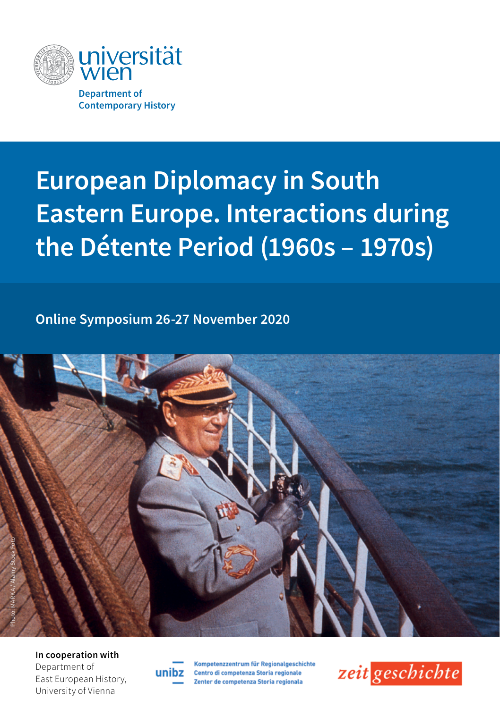

# **European Diplomacy in South Eastern Europe. Interactions during the Détente Period (1960s – 1970s)**

**Online Symposium 26-27 November 2020** 



**In cooperation with**  Department of East European History, University of Vienna



Kompetenzzentrum für Regionalgeschichte Centro di competenza Storia regionale Zenter de competenza Storia regionala

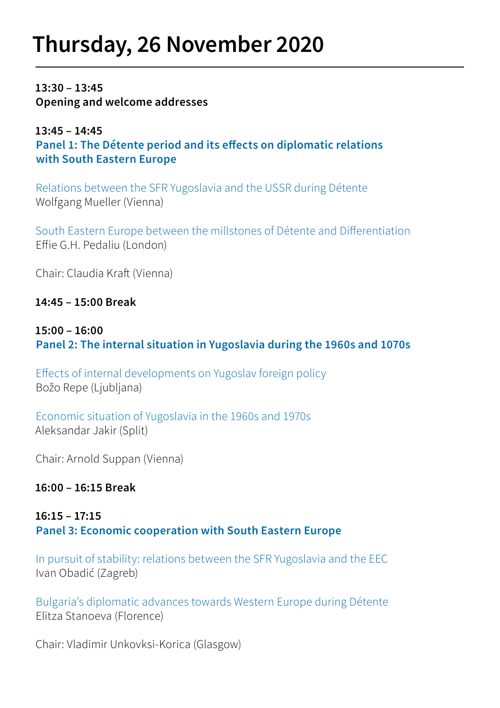# **Thursday, 26 November 2020**

**13:30 – 13:45 Opening and welcome addresses**

**13:45 – 14:45 Panel 1: The Détente period and its effects on diplomatic relations with South Eastern Europe** 

Relations between the SFR Yugoslavia and the USSR during Détente Wolfgang Mueller (Vienna)

South Eastern Europe between the millstones of Détente and Differentiation Effie G.H. Pedaliu (London)

Chair: Claudia Kraft (Vienna)

**14:45 – 15:00 Break**

#### **15:00 – 16:00 Panel 2: The internal situation in Yugoslavia during the 1960s and 1070s**

Effects of internal developments on Yugoslav foreign policy Božo Repe (Ljubljana)

Economic situation of Yugoslavia in the 1960s and 1970s Aleksandar Jakir (Split)

Chair: Arnold Suppan (Vienna)

**16:00 – 16:15 Break**

#### **16:15 – 17:15 Panel 3: Economic cooperation with South Eastern Europe**

In pursuit of stability: relations between the SFR Yugoslavia and the EEC Ivan Obadić (Zagreb)

Bulgaria's diplomatic advances towards Western Europe during Détente Elitza Stanoeva (Florence)

Chair: Vladimir Unkovksi-Korica (Glasgow)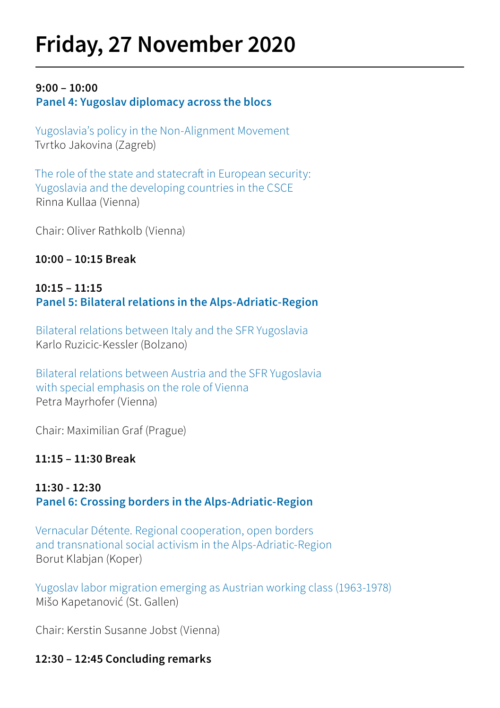# **Friday, 27 November 2020**

#### **9:00 – 10:00**

**Panel 4: Yugoslav diplomacy across the blocs**

Yugoslavia's policy in the Non-Alignment Movement Tvrtko Jakovina (Zagreb)

The role of the state and statecraft in European security: Yugoslavia and the developing countries in the CSCE Rinna Kullaa (Vienna)

Chair: Oliver Rathkolb (Vienna)

### **10:00 – 10:15 Break**

#### **10:15 – 11:15 Panel 5: Bilateral relations in the Alps-Adriatic-Region**

Bilateral relations between Italy and the SFR Yugoslavia Karlo Ruzicic-Kessler (Bolzano)

Bilateral relations between Austria and the SFR Yugoslavia with special emphasis on the role of Vienna Petra Mayrhofer (Vienna)

Chair: Maximilian Graf (Prague)

# **11:15 – 11:30 Break**

### **11:30 - 12:30 Panel 6: Crossing borders in the Alps-Adriatic-Region**

Vernacular Détente. Regional cooperation, open borders and transnational social activism in the Alps-Adriatic-Region Borut Klabjan (Koper)

Yugoslav labor migration emerging as Austrian working class (1963-1978) Mišo Kapetanović (St. Gallen)

Chair: Kerstin Susanne Jobst (Vienna)

#### **12:30 – 12:45 Concluding remarks**